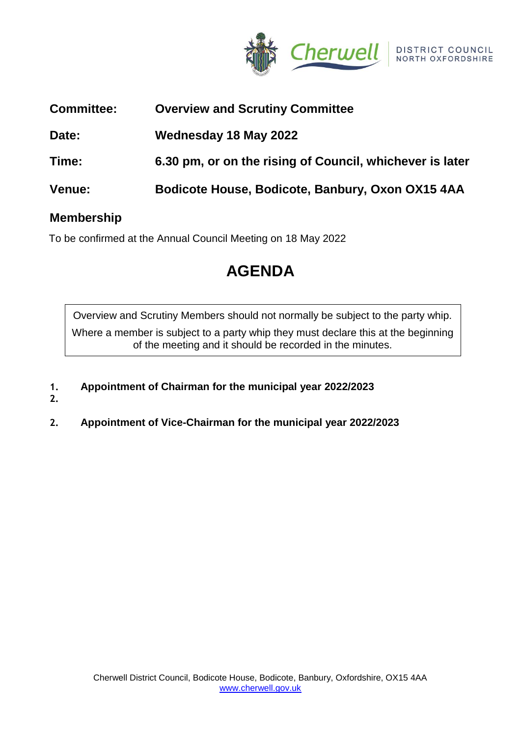

| <b>Committee:</b> | <b>Overview and Scrutiny Committee</b>                   |
|-------------------|----------------------------------------------------------|
| Date:             | Wednesday 18 May 2022                                    |
| Time:             | 6.30 pm, or on the rising of Council, whichever is later |
| <b>Venue:</b>     | Bodicote House, Bodicote, Banbury, Oxon OX15 4AA         |
|                   |                                                          |

## **Membership**

To be confirmed at the Annual Council Meeting on 18 May 2022

# **AGENDA**

Overview and Scrutiny Members should not normally be subject to the party whip. Where a member is subject to a party whip they must declare this at the beginning of the meeting and it should be recorded in the minutes.

- **1. Appointment of Chairman for the municipal year 2022/2023**
- **2.**
- **2. Appointment of Vice-Chairman for the municipal year 2022/2023**